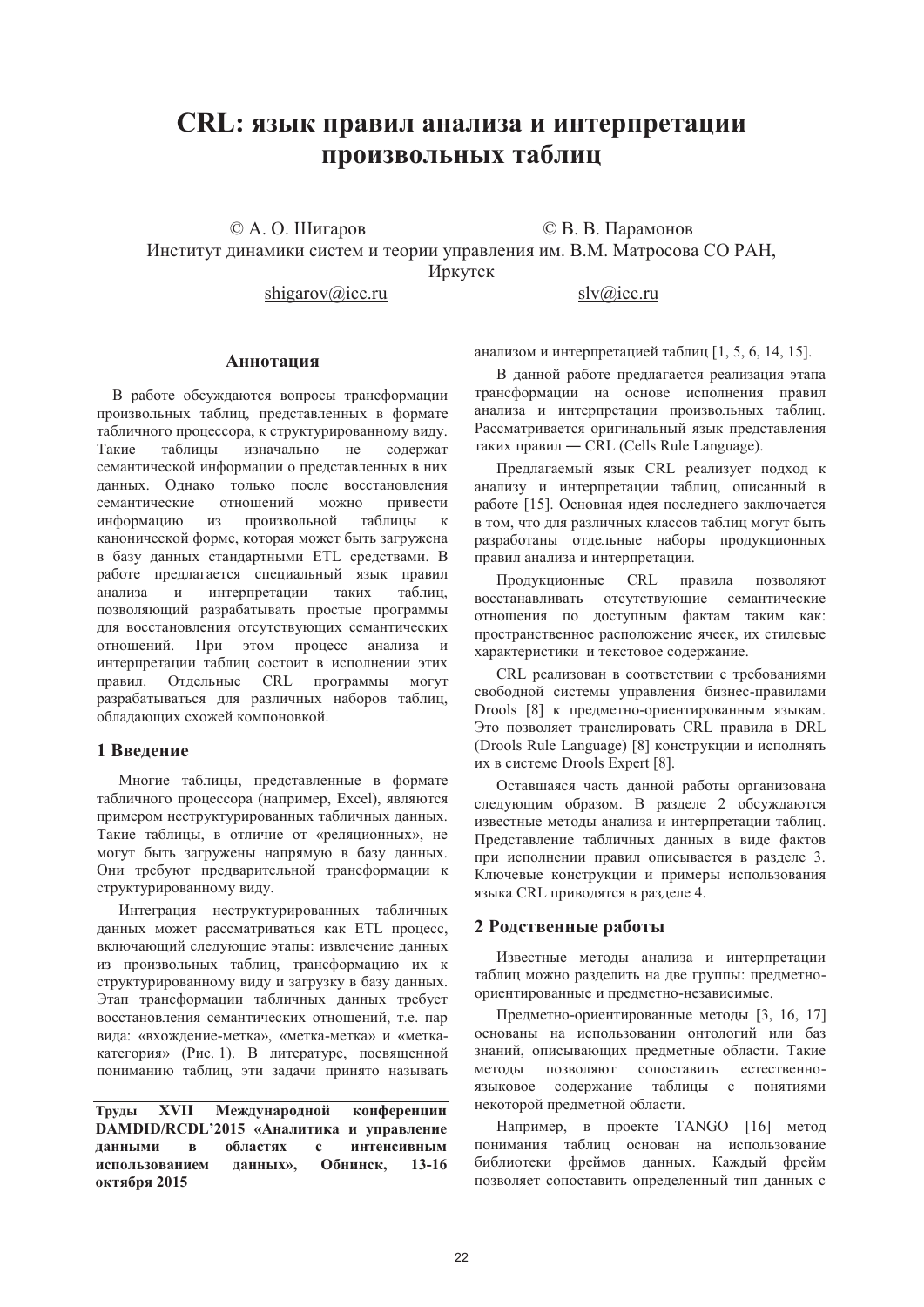# CRL: язык правил анализа и интерпретации произвольных таблиц

© А. О. Шигаров

shigarov@icc.ru

© В. В. Парамонов

Институт динамики систем и теории управления им. В.М. Матросова СО РАН,

Иркутск

 $slv@$ icc.ru

#### **Аннотания**

В работе обсуждаются вопросы трансформации произвольных таблиц, представленных в формате табличного процессора, к структурированному виду. изначально Такие таблицы  $He$ содержат семантической информации о представленных в них данных. Однако только после восстановления семантические отношений  $MOXHO$ привести информацию И3 произвольной таблицы  $\mathbf{K}$ канонической форме, которая может быть загружена в базу ланных станлартными ETL средствами. В работе предлагается специальный язык правил анапиза  $\mathbf{M}$ интерпретации таких таблип. позволяющий разрабатывать простые программы лля восстановления отсутствующих семантических отношений. При этом процесс анализа  $\overline{u}$ интерпретации таблиц состоит в исполнении этих правил. Отдельные CRL программы МОГУТ разрабатываться для различных наборов таблиц, обладающих схожей компоновкой.

# 1 Ввеление

Многие таблицы, представленные в формате табличного процессора (например, Excel), являются примером неструктурированных табличных данных. Такие таблицы, в отличие от «реляционных», не могут быть загружены напрямую в базу данных. Они требуют предварительной трансформации к структурированному виду.

Интеграция неструктурированных табличных ланных может рассматриваться как ETL процесс. включающий следующие этапы: извлечение данных из произвольных таблиц, трансформацию их к структурированному виду и загрузку в базу данных. Этап трансформации табличных данных требует восстановления семантических отношений, т.е. пар вида: «вхождение-метка», «метка-метка» и «меткакатегория» (Рис. 1). В литературе, посвященной пониманию таблиц, эти задачи принято называть

Труды **XVII** Международной конференции **DAMDID/RCDL'2015 «Аналитика и управление** ланными областях интенсивным  $\mathbf{R}$  $\mathbf{c}$ использованием данных»,  $13-16$ Обнинск, октября 2015

анализом и интерпретацией таблиц [1, 5, 6, 14, 15].

В ланной работе предлагается реализация этапа трансформации на основе исполнения правил анализа и интерпретации произвольных таблиц. Рассматривается оригинальный язык представления таких правил - CRL (Cells Rule Language).

Предлагаемый язык CRL реализует подход к анализу и интерпретации таблиц, описанный в работе [15]. Основная идея последнего заключается в том, что для различных классов таблиц могут быть разработаны отдельные наборы продукционных правил анализа и интерпретации.

Продукционные **CRL** правила ПОЗВОЛЯЮТ восстанавливать отсутствующие семантические отношения по доступным фактам таким как: пространственное расположение ячеек, их стилевые характеристики и текстовое содержание.

CRL реализован в соответствии с требованиями свободной системы управления бизнес-правилами Drools [8] к предметно-ориентированным языкам. Это позволяет транслировать CRL правила в DRL (Drools Rule Language) [8] конструкции и исполнять их в системе Drools Expert [8].

Оставшаяся часть данной работы организована следующим образом. В разделе 2 обсуждаются известные методы анализа и интерпретации таблиц. Представление табличных данных в виде фактов при исполнении правил описывается в разделе 3. Ключевые конструкции и примеры использования языка CRL приводятся в разделе 4.

# 2 Родственные работы

Известные методы анализа и интерпретации таблиц можно разделить на две группы: предметноориентированные и предметно-независимые.

Предметно-ориентированные методы [3, 16, 17] основаны на использовании онтологий или баз знаний, описывающих предметные области. Такие сопоставить естественнометолы ПОЗВОЛЯЮТ языковое содержание таблицы с понятиями некоторой предметной области.

Например, в проекте TANGO [16] метод понимания таблиц основан на использование библиотеки фреймов данных. Каждый фрейм позволяет сопоставить определенный тип данных с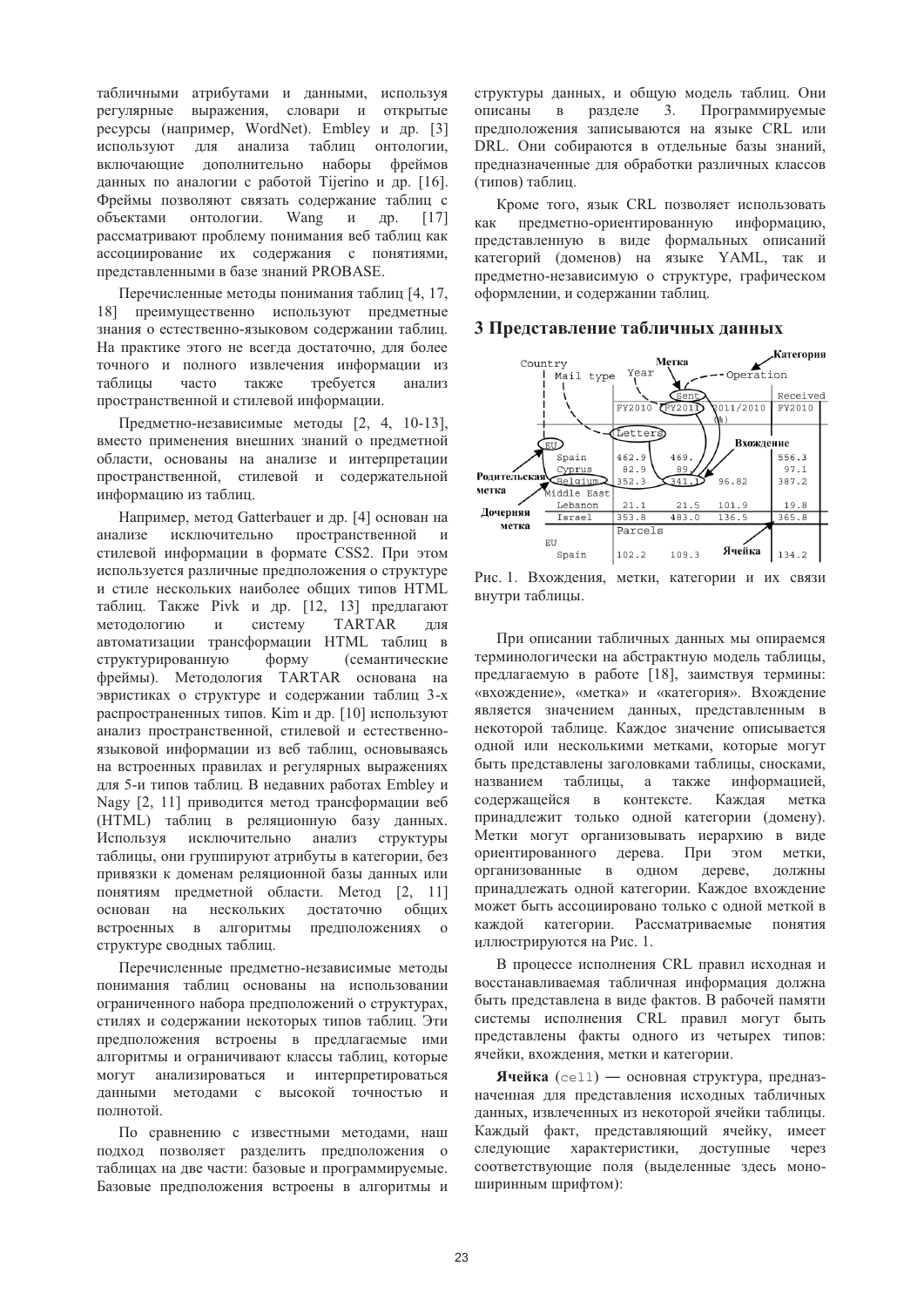табличными атрибутами и данными, используя регулярные выражения, словари и открытые ресурсы (например, WordNet). Embley и др. [3] используют для анализа таблиц онтологии, включающие дополнительно наборы фреймов данных по аналогии с работой Tijerino и др. [16]. Фреймы позволяют связать содержание таблиц с Wang объектами онтологии.  $\overline{M}$ Дp.  $[17]$ рассматривают проблему понимания веб таблиц как ассоциирование их содержания с понятиями, представленными в базе знаний PROBASE.

Перечисленные методы понимания таблиц [4, 17, 18] преимущественно используют предметные знания о естественно-языковом содержании таблиц. На практике этого не всегда достаточно, для более точного и полного извлечения информации из таблицы часто также требуется анализ пространственной и стилевой информации.

Предметно-независимые методы [2, 4, 10-13], вместо применения внешних знаний о предметной области, основаны на анализе и интерпретации пространственной, стилевой и содержательной информацию из таблиц.

Например, метод Gatterbauer и др. [4] основан на исключительно пространственной анализе  $\overline{M}$ стилевой информации в формате CSS2. При этом используется различные предположения о структуре и стиле нескольких наиболее общих типов HTML таблиц. Также Pivk и др. [12, 13] предлагают систему **TARTAR** методологию лпя автоматизации трансформации HTML таблиц в структурированную форму (семантические фреймы). Методология TARTAR основана на эвристиках о структуре и содержании таблиц 3-х распространенных типов. Kim и др. [10] используют анализ пространственной, стилевой и естественноязыковой информации из веб таблиц, основываясь на встроенных правилах и регулярных выражениях для 5-и типов таблиц. В недавних работах Embley и Nagy [2, 11] приводится метод трансформации веб (HTML) таблиц в реляционную базу данных. Используя исключительно анализ структуры таблицы, они группируют атрибуты в категории, без привязки к доменам реляционной базы данных или понятиям предметной области. Метод [2, 11] основан на нескольких достаточно общих встроенных в алгоритмы предположениях  $\overline{0}$ структуре сводных таблиц.

Перечисленные предметно-независимые методы понимания таблиц основаны на использовании ограниченного набора предположений о структурах, стилях и содержании некоторых типов таблиц. Эти предположения встроены в предлагаемые ими алгоритмы и ограничивают классы таблиц, которые **MOLAL** анализироваться  $\mathbf{M}$ интерпретироваться данными методами с высокой точностью и полнотой.

По сравнению с известными методами, наш подход позволяет разделить предположения о таблицах на две части: базовые и программируемые. Базовые предположения встроены в алгоритмы и структуры данных, и общую модель таблиц. Они разделе  $3.$ Программируемые описаны  $\mathbf{B}$ предположения записываются на языке CRL или DRL. Они собираются в отдельные базы знаний, предназначенные для обработки различных классов (типов) таблиц.

Кроме того, язык CRL позволяет использовать предметно-ориентированную информацию, как представленную в виде формальных описаний категорий (доменов) на языке YAML, так и предметно-независимую о структуре, графическом оформлении, и содержании таблиц.

#### 3 Представление табличных данных



Рис. 1. Вхождения, метки, категории и их связи внутри таблицы.

При описании табличных данных мы опираемся терминологически на абстрактную модель таблицы, предлагаемую в работе [18], заимствуя термины: «вхождение», «метка» и «категория». Вхождение является значением ланных, представленным в некоторой таблице. Каждое значение описывается одной или несколькими метками, которые могут быть представлены заголовками таблицы, сносками, названием таблицы, а также информацией, в контексте. Каждая содержащейся метка принадлежит только одной категории (домену). Метки могут организовывать иерархию в виде ориентированного дерева. При этом метки. организованные в одном дереве, ЛОЛЖНЫ принадлежать одной категории. Каждое вхождение может быть ассоциировано только с одной меткой в каждой категории. Рассматриваемые понятия иллюстрируются на Рис. 1.

В процессе исполнения CRL правил исходная и восстанавливаемая табличная информация должна быть представлена в виде фактов. В рабочей памяти системы исполнения CRL правил могут быть представлены факты одного из четырех типов: ячейки, вхождения, метки и категории.

Ячейка (cell) - основная структура, предназначенная для представления исходных табличных данных, извлеченных из некоторой ячейки таблицы. Каждый факт, представляющий ячейку, имеет следующие характеристики, доступные через соответствующие поля (выделенные здесь моноширинным шрифтом):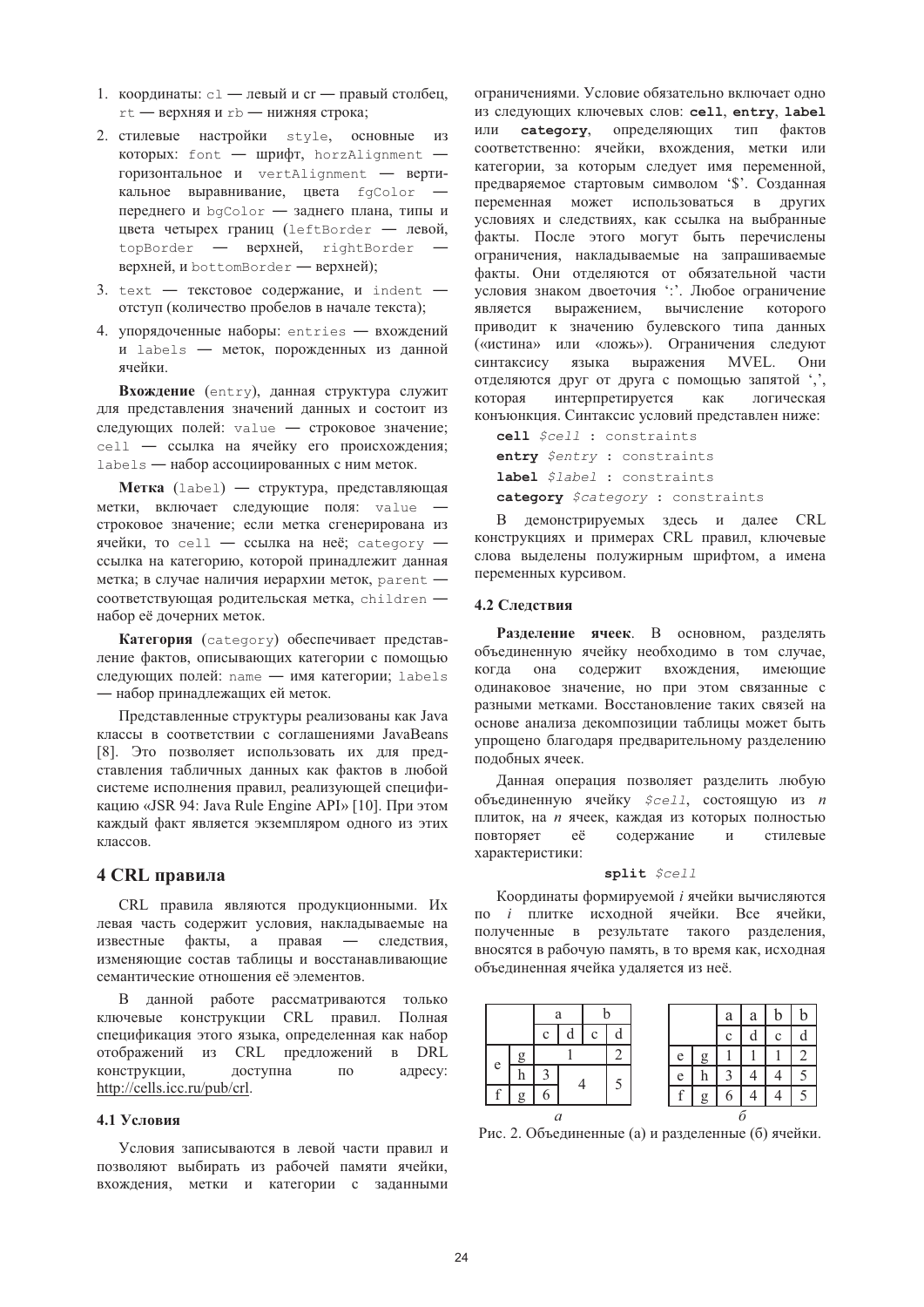- 1. координаты: c1 левый и cr правый столбец, rt - верхняя и rb - нижняя строка;
- 2. стилевые настройки style, основные из которых: font - шрифт, horzAlignment горизонтальное и vertAlignment - вертикальное выравнивание, цвета fgColor переднего и bgColor - заднего плана, типы и цвета четырех границ (leftBorder - левой, topBorder - BepxHen, rightBorder верхней, и bottomBorder — верхней);
- 3. text текстовое содержание, и indent отступ (количество пробелов в начале текста);
- 4. упорядоченные наборы: entries вхождений и labels - меток, порожденных из данной ячейки

Вхождение (entry), данная структура служит для представления значений данных и состоит из следующих полей: value - строковое значение; cell - ссылка на ячейку его происхождения; labels — набор ассоциированных с ним меток.

Метка (label) — структура, представляющая метки, включает следующие поля: value строковое значение; если метка сгенерирована из ячейки, то cell - ссылка на неё; category ссылка на категорию, которой принадлежит данная метка; в случае наличия иерархии меток, parent соответствующая родительская метка, children набор её дочерних меток.

Категория (category) обеспечивает представление фактов, описывающих категории с помощью следующих полей: name - имя категории; labels - набор принадлежащих ей меток.

Представленные структуры реализованы как Java классы в соответствии с соглашениями JavaBeans [8]. Это позволяет использовать их для представления табличных данных как фактов в любой системе исполнения правил, реализующей спецификацию «JSR 94: Java Rule Engine API» [10]. При этом каждый факт является экземпляром одного из этих классов.

# 4 CRL правила

CRL правила являются продукционными. Их левая часть содержит условия, накладываемые на известные факты, а правая — следствия, изменяющие состав таблицы и восстанавливающие семантические отношения её элементов.

В данной работе рассматриваются только ключевые конструкции CRL правил. Полная спецификация этого языка, определенная как набор отображений из CRL предложений в DRL конструкции, доступна  $\overline{10}$ адресу: http://cells.icc.ru/pub/crl.

#### 4.1 Условия

Условия записываются в левой части правил и позволяют выбирать из рабочей памяти ячейки. вхождения, метки и категории с заданными

ограничениями. Условие обязательно включает одно из следующих ключевых слов: cell, entry, label или category, определяющих тип фактов соответственно: ячейки, вхождения, метки или категории, за которым следует имя переменной, предваряемое стартовым символом '\$'. Созданная переменная может использоваться в других условиях и следствиях, как ссылка на выбранные факты. После этого могут быть перечислены ограничения, накладываемые на запрашиваемые факты. Они отделяются от обязательной части условия знаком двоеточия ": Любое ограничение выражением, вычисление которого является приводит к значению булевского типа данных («истина» или «ложь»). Ограничения следуют синтаксису языка выражения MVEL. Они отделяются друг от друга с помощью запятой ',', интерпретируется как логическая которая конъюнкция. Синтаксис условий представлен ниже:

cell Scell : constraints entry \$entry : constraints label \$label : constraints category \$category : constraints

В демонстрируемых здесь и далее CRL конструкциях и примерах CRL правил, ключевые слова выделены полужирным шрифтом, а имена переменных курсивом.

#### 4.2 Слелствия

Разделение ячеек. В основном, разделять объединенную ячейку необходимо в том случае, когда она содержит вхождения, имеющие одинаковое значение, но при этом связанные с разными метками. Восстановление таких связей на основе анализа декомпозиции таблицы может быть упрощено благодаря предварительному разделению полобных ячеек.

Данная операция позволяет разделить любую объединенную ячейку  $\zeta$ cell, состоящую из *n* плиток, на *п* ячеек, каждая из которых полностью повторяет eë содержание  $\,$   $\,$   $\,$   $\,$ стилевые характеристики:

#### split \$cell

Координаты формируемой і ячейки вычисляются по і плитке исходной ячейки. Все ячейки, полученные в результате такого разделения, вносятся в рабочую память, в то время как, исходная объединенная ячейка удаляется из неё.



Рис. 2. Объединенные (а) и разлеленные (б) ячейки.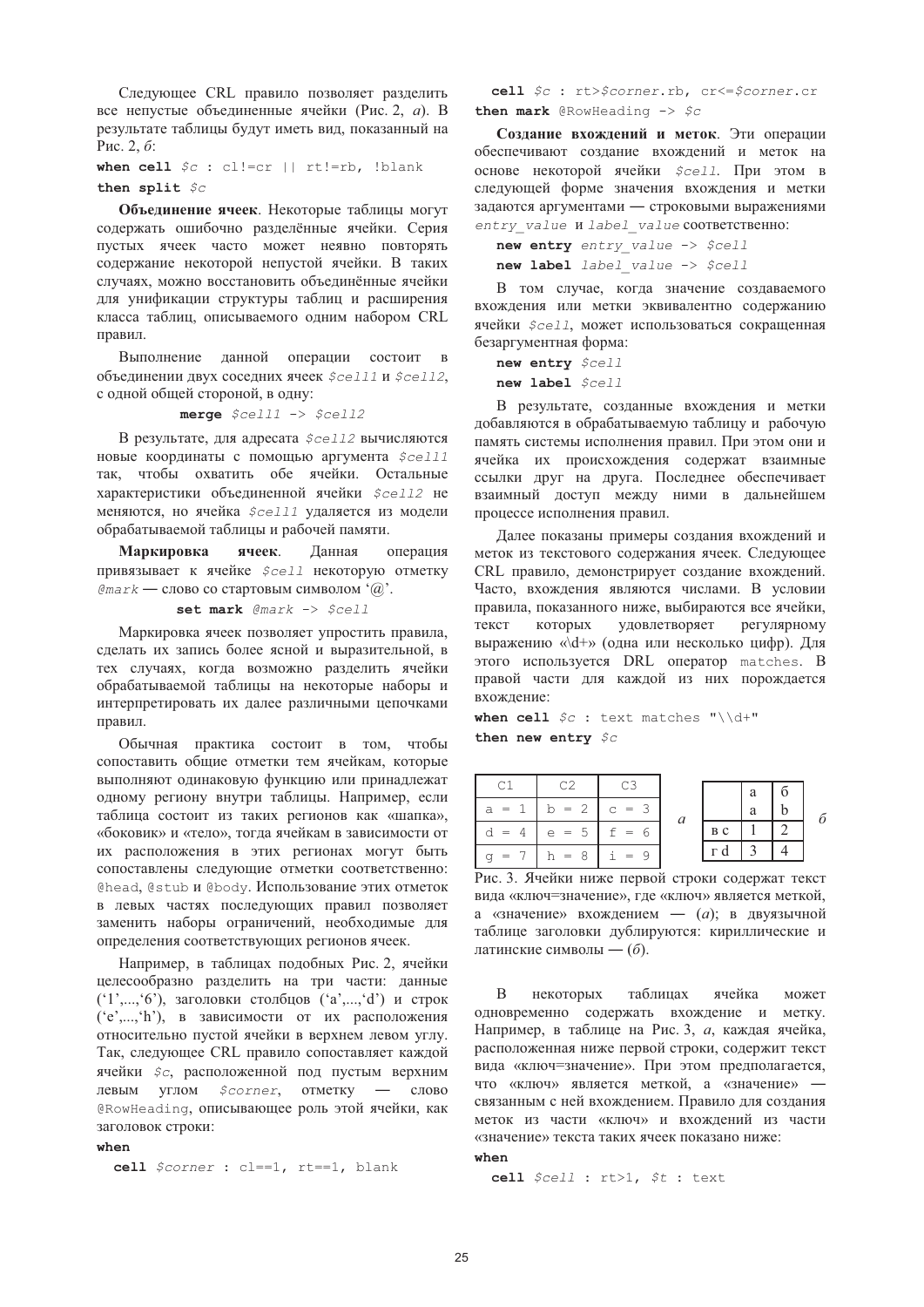Следующее CRL правило позволяет разделить все непустые объединенные ячейки (Рис. 2, а). В результате таблицы будут иметь вид, показанный на Рис. 2, б:

when cell  $\circ c$ : cl!=cr || rt!=rb, !blank then split  $\zeta_C$ 

Объединение ячеек. Некоторые таблицы могут содержать ошибочно разделённые ячейки. Серия пустых ячеек часто может неявно повторять содержание некоторой непустой ячейки. В таких случаях, можно восстановить объединённые ячейки для унификации структуры таблиц и расширения класса таблиц, описываемого одним набором CRL правил.

Выполнение данной операции состоит в объединении двух соседних ячеек \$cell1 и \$cell2, с одной общей стороной, в одну:

merge  $$cell1 \rightarrow $cell2$ 

В результате, для адресата  $\zeta$ cell2 вычисляются новые координаты с помощью аргумента  $$cell1$ так, чтобы охватить обе ячейки. Остальные характеристики объединенной ячейки  $$cell2$  не меняются, но ячейка Scell1 удаляется из модели обрабатываемой таблицы и рабочей памяти.

Маркировка ячеек. Данная операция привязывает к ячейке Scell некоторую отметку  $\ell$ та г $k$  — слово со стартовым символом ' $(\widehat{a})$ '.

set mark @mark -> \$cell

Маркировка ячеек позволяет упростить правила. сделать их запись более ясной и выразительной, в тех случаях, когда возможно разделить ячейки обрабатываемой таблицы на некоторые наборы и интерпретировать их далее различными цепочками правил.

Обычная практика состоит в том, чтобы сопоставить общие отметки тем ячейкам, которые выполняют одинаковую функцию или принадлежат одному региону внутри таблицы. Например, если таблица состоит из таких регионов как «шапка», «боковик» и «тело», тогда ячейкам в зависимости от их расположения в этих регионах могут быть сопоставлены следующие отметки соответственно: Chead, Cstub и Cbody. Использование этих отметок в левых частях последующих правил позволяет заменить наборы ограничений, необходимые для определения соответствующих регионов ячеек.

Например, в таблинах полобных Рис. 2. ячейки целесообразно разделить на три части: данные ('1',...,'6'), заголовки столбцов ('a',...,'d') и строк ('e',...,'h'), в зависимости от их расположения относительно пустой ячейки в верхнем левом углу. Так, следующее CRL правило сопоставляет каждой ячейки  $\zeta c$ , расположенной под пустым верхним \$corner, отметку - слово левым углом @RowHeading, описывающее роль этой ячейки, как заголовок строки:

when

```
cell $corner : cl == 1, rt == 1, blank
```
cell \$c : rt>\$corner.rb, cr<=\$corner.cr then mark @RowHeading  $\rightarrow$  \$c

Созлание вхождений и меток. Эти операции обеспечивают создание вхождений и меток на основе некоторой ячейки  $\zeta$ cell. При этом в следующей форме значения вхождения и метки задаются аргументами - строковыми выражениями entry value M label value coorBeTCTBeHHO:

new entry entry value -> \$cell new label label value -> \$cell

В том случае, когда значение создаваемого вхождения или метки эквивалентно содержанию ячейки \$cell, может использоваться сокращенная безаргументная форма:

```
new entry $cell
new label $cell
```
В результате, созданные вхождения и метки добавляются в обрабатываемую таблицу и рабочую память системы исполнения правил. При этом они и ячейка их происхождения содержат взаимные ссылки друг на друга. Последнее обеспечивает взаимный доступ между ними в дальнейшем процессе исполнения правил.

Далее показаны примеры создания вхождений и меток из текстового содержания ячеек. Следующее CRL правило, демонстрирует создание вхождений. Часто, вхождения являются числами. В условии правила, показанного ниже, выбираются все ячейки, которых удовлетворяет текст регулярному выражению «\d+» (одна или несколько цифр). Для этого используется DRL оператор matches. В правой части для каждой из них порождается вхождение:

when cell  $\sqrt{5}c$  : text matches "\\d+" then new entry  $\zeta_C$ 

|                           |                             |                       |   |     | a |  |
|---------------------------|-----------------------------|-----------------------|---|-----|---|--|
| а<br>$=$                  | $= 2$<br>b                  | $=$ 3<br>$\mathsf{C}$ |   |     | a |  |
| $=$                       | 5<br>e<br>$\cdot$ = $\cdot$ | =                     | a | B C |   |  |
| $\mathbf{r} = \mathbf{r}$ | $h = 8$                     | $i = 9$               |   | г   |   |  |

Рис. 3. Ячейки ниже первой строки содержат текст вида «ключ=значение», где «ключ» является меткой, а «значение» вхождением — (а); в двуязычной таблице заголовки дублируются: кириллические и латинские символы — (б).

 $\overline{B}$ некоторых таблицах ячейка может одновременно содержать вхождение и метку. Например, в таблице на Рис. 3, а, каждая ячейка, расположенная ниже первой строки, содержит текст вида «ключ=значение». При этом предполагается, что «ключ» является меткой, а «значение» связанным с ней вхождением. Правило для создания меток из части «ключ» и вхождений из части «значение» текста таких ячеек показано ниже:

 $when$ 

cell \$cell : rt>1, \$t : text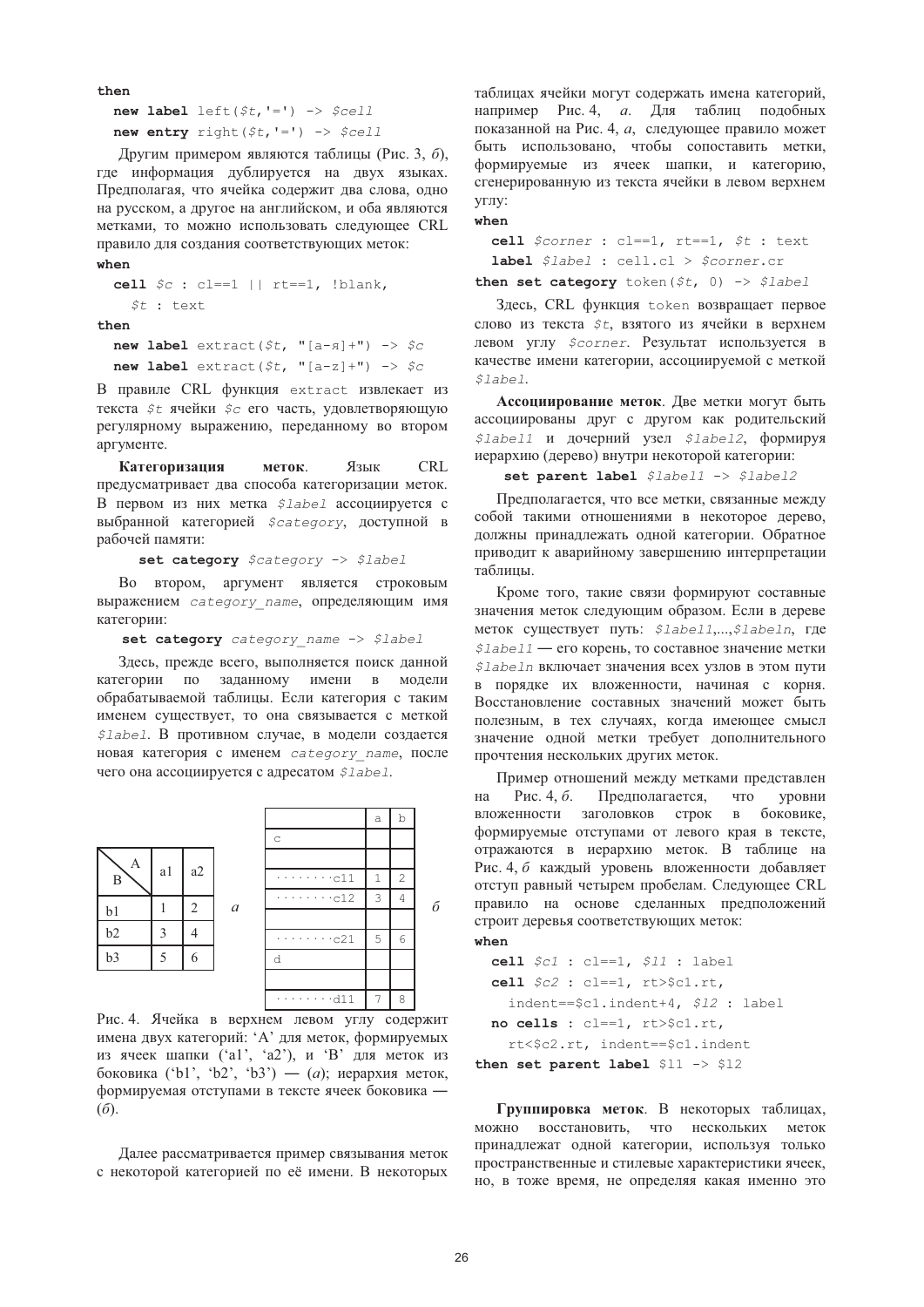then

new label left  $($  $(t, '=') ->$   $%$ new entry right  $( $t, ' =') \rightarrow $cell$ 

Другим примером являются таблицы (Рис. 3, 6), где информация дублируется на двух языках. Предполагая, что ячейка содержит два слова, одно на русском, а другое на английском, и оба являются метками, то можно использовать следующее CRL правило для создания соответствующих меток: when

```
cell \zeta_c : cl==1 || rt==1, !blank,
    \zeta t : text
thennew label extract($t, "[a-\pi]+") -> $c
```
new label extract( $\zeta t$ , "[a-z]+") ->  $\zeta c$ 

В правиле CRL функция extract извлекает из текста \$t ячейки \$c его часть, удовлетворяющую регулярному выражению, переданному во втором аргументе.

Категоризация Язык **CRL** меток. предусматривает два способа категоризации меток. В первом из них метка *\$label* ассоциируется с выбранной категорией *\$category*, доступной в рабочей памяти:

set category \$category -> \$label

Во втором, аргумент является строковым выражением *category* name, определяющим имя категории:

set category category name -> \$label

Здесь, прежде всего, выполняется поиск данной категории по заданному имени в модели обрабатываемой таблицы. Если категория с таким именем существует, то она связывается с меткой \$label. В противном случае, в модели создается новая категория с именем category name, после чего она ассоциируется с адресатом \$label.



Рис. 4. Ячейка в верхнем левом углу содержит имена двух категорий: 'А' для меток, формируемых из ячеек шапки ('a1', 'a2'), и 'В' для меток из боковика ('b1', 'b2', 'b3') — (а); иерархия меток, формируемая отступами в тексте ячеек боковика - $(6)$ .

Далее рассматривается пример связывания меток с некоторой категорией по её имени. В некоторых таблицах ячейки могут содержать имена категорий, например Рис. 4, а. Для таблиц подобных показанной на Рис. 4, а, следующее правило может быть использовано, чтобы сопоставить метки, формируемые из ячеек шапки, и категорию, сгенерированную из текста ячейки в левом верхнем **VLIIV:** 

 $when$ 

cell \$corner : cl==1, rt==1, \$t : text label \$label : cell.cl > \$corner.cr

then set category token  $(5t, 0) \rightarrow 5$ label

Здесь, CRL функция token возвращает первое слово из текста \$t, взятого из ячейки в верхнем левом углу *\$corner*. Результат используется в качестве имени категории, ассоциируемой с меткой \$label.

Ассоциирование меток. Две метки могут быть ассоциированы друг с другом как родительский \$label1 и дочерний узел \$label2, формируя иерархию (дерево) внутри некоторой категории:

set parent label \$label1 -> \$label2

Предполагается, что все метки, связанные между собой такими отношениями в некоторое дерево, должны принадлежать одной категории. Обратное приводит к аварийному завершению интерпретации таблицы.

Кроме того, такие связи формируют составные значения меток следующим образом. Если в дереве меток существует путь: \$label1,...,\$labeln, где \$label1 - его корень, то составное значение метки \$labeln включает значения всех узлов в этом пути в порядке их вложенности, начиная с корня. Восстановление составных значений может быть полезным, в тех случаях, когда имеющее смысл значение одной метки требует дополнительного прочтения нескольких других меток.

Пример отношений между метками представлен Pис. 4,  $\delta$ . Предполагается. что **VDOBHИ** на заголовков строк в вложенности боковике, формируемые отступами от левого края в тексте, отражаются в иерархию меток. В таблице на Рис. 4, б каждый уровень вложенности добавляет отступ равный четырем пробелам. Следующее CRL правило на основе сделанных предположений строит деревья соответствующих меток: when

```
cell \zeta c1 : cl==1, \zeta 11 : label
  cell $c2 : cl==1, rt>>c1.rt,
    indent == $c1.indent+4, $12 : label
  no cells : cl == 1, rt>$c1.rt,
    rt<$c2.rt, indent == $c1.indent
then set parent label $11 -> $12
```
Группировка меток. В некоторых таблицах, можно восстановить, что нескольких меток принадлежат одной категории, используя только пространственные и стилевые характеристики ячеек, но, в тоже время, не определяя какая именно это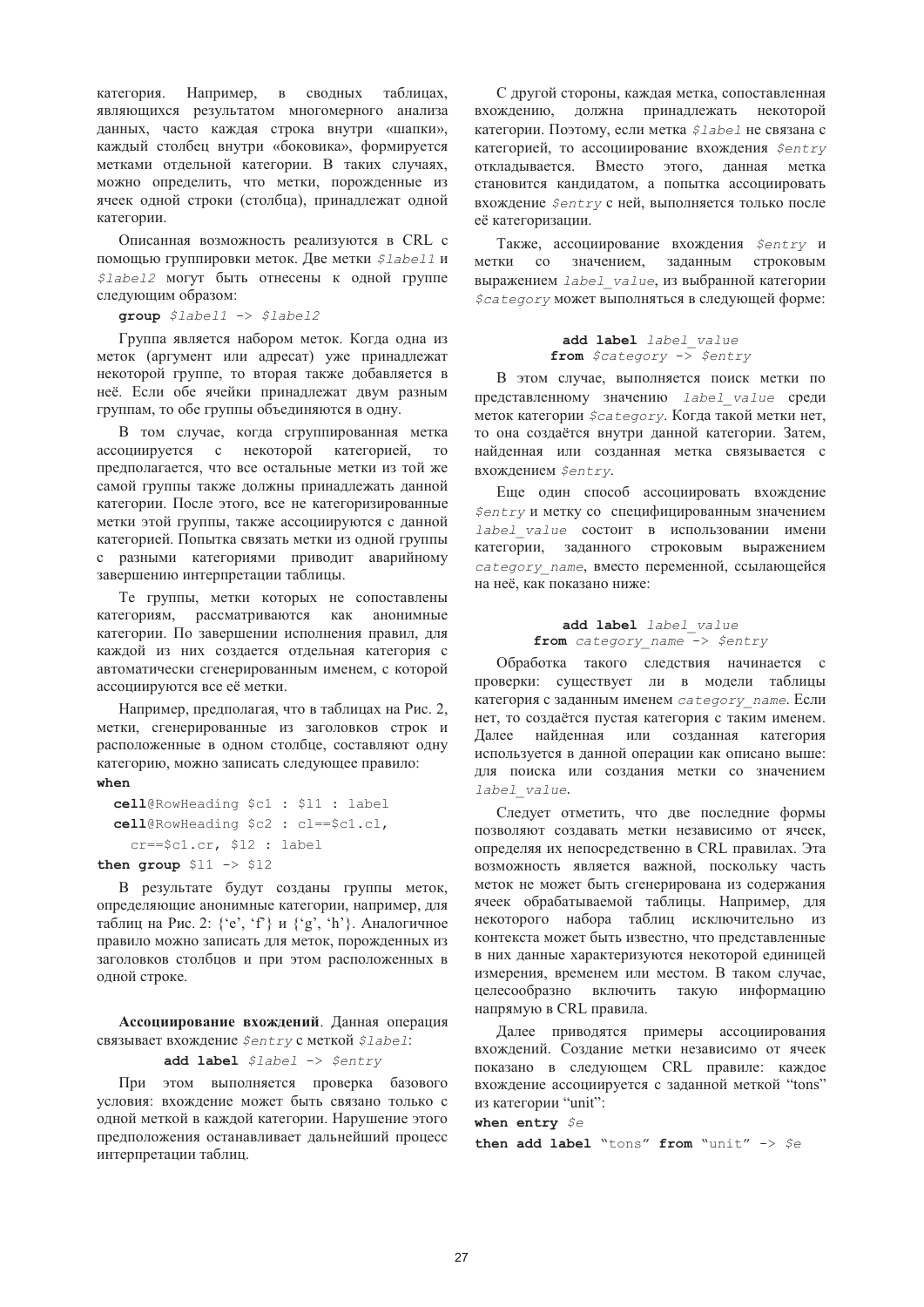категория. Например, в сводных таблицах, являющихся результатом многомерного анализа данных, часто каждая строка внутри «шапки», каждый столбец внутри «боковика», формируется метками отдельной категории. В таких случаях, можно определить, что метки, порожденные из ячеек одной строки (столбца), принадлежат одной категории.

Описанная возможность реализуются в CRL с помощью группировки меток. Две метки *\$labell* и \$label2 могут быть отнесены к одной группе следующим образом:

 $group$   $$label1$  ->  $$label2$ 

Группа является набором меток. Когда одна из меток (аргумент или адресат) уже принадлежат некоторой группе, то вторая также добавляется в неё. Если обе ячейки принадлежат двум разным группам, то обе группы объединяются в одну.

В том случае, когда сгруппированная метка ассоциируется с некоторой категорией,  $T<sub>O</sub>$ предполагается, что все остальные метки из той же самой группы также должны принадлежать данной категории. После этого, все не категоризированные метки этой группы, также ассоциируются с данной категорией. Попытка связать метки из одной группы с разными категориями приводит аварийному завершению интерпретации таблицы.

Те группы, метки которых не сопоставлены категориям, рассматриваются как анонимные категории. По завершении исполнения правил, для каждой из них создается отдельная категория с автоматически сгенерированным именем, с которой ассоциируются все её метки.

Например, предполагая, что в таблицах на Рис. 2, метки, сгенерированные из заголовков строк и расположенные в одном столбце, составляют одну категорию, можно записать следующее правило: when

```
cell@RowHeading $c1 : $11 : label
cell@RowHeading $c2 : cl == $c1.cl,
  cr == $cl.cr, $12 : label
```

```
then group $11 -> $12
```
В результате будут созданы группы меток, определяющие анонимные категории, например, для таблиц на Рис. 2: {'e', 'f'} и {'g', 'h'}. Аналогичное правило можно записать для меток, порожденных из заголовков столбцов и при этом расположенных в одной строке.

Ассоциирование вхождений. Данная операция связывает вхождение \$entry с меткой \$label:

add label \$label -> \$entry

При этом выполняется проверка базового условия: вхождение может быть связано только с одной меткой в каждой категории. Нарушение этого предположения останавливает дальнейший процесс интерпретации таблиц.

С другой стороны, каждая метка, сопоставленная вхождению, должна принадлежать некоторой категории. Поэтому, если метка *\$label* не связана с категорией, то ассоциирование вхождения Sentry отклалывается. Вместо этого, данная метка становится кандидатом, а попытка ассоциировать вхождение *\$entry* с ней, выполняется только после её категоризации.

Также, ассоциирование вхождения Sentry и метки со значением, заданным строковым выражением label value, из выбранной категории \$category может выполняться в следующей форме:

add label label\_value<br>from \$category -> \$entry

В этом случае, выполняется поиск метки по представленному значению label value среди меток категории *\$category*. Когда такой метки нет, то она создаётся внутри данной категории. Затем, найденная или созданная метка связывается с вхождением \$entry.

Еще один способ ассоциировать вхождение \$entry и метку со специфицированным значением label value cocтоит в использовании имени категории, заданного строковым выражением category name, вместо переменной, ссылающейся на неё, как показано ниже:

#### add label label value from category name  $\bar{z}$  > \$entry

Обработка такого следствия начинается с проверки: существует ли в модели таблицы категория с заданным именем category name. Если нет, то создаётся пустая категория с таким именем. Далее найденная или созданная категория используется в данной операции как описано выше: для поиска или создания метки со значением label value.

Следует отметить, что две последние формы позволяют создавать метки независимо от ячеек, определяя их непосредственно в CRL правилах. Эта возможность является важной, поскольку часть меток не может быть сгенерирована из содержания ячеек обрабатываемой таблицы. Например, для некоторого набора таблиц исключительно из контекста может быть известно, что представленные в них данные характеризуются некоторой единицей измерения, временем или местом. В таком случае, целесообразно включить такую информацию напрямую в CRL правила.

Далее приводятся примеры ассоциирования вхождений. Создание метки независимо от ячеек показано в следующем CRL правиле: каждое вхождение ассоциируется с заданной меткой "tons" из категории "unit":

when entry \$e then add label "tons" from "unit"  $\rightarrow$  \$e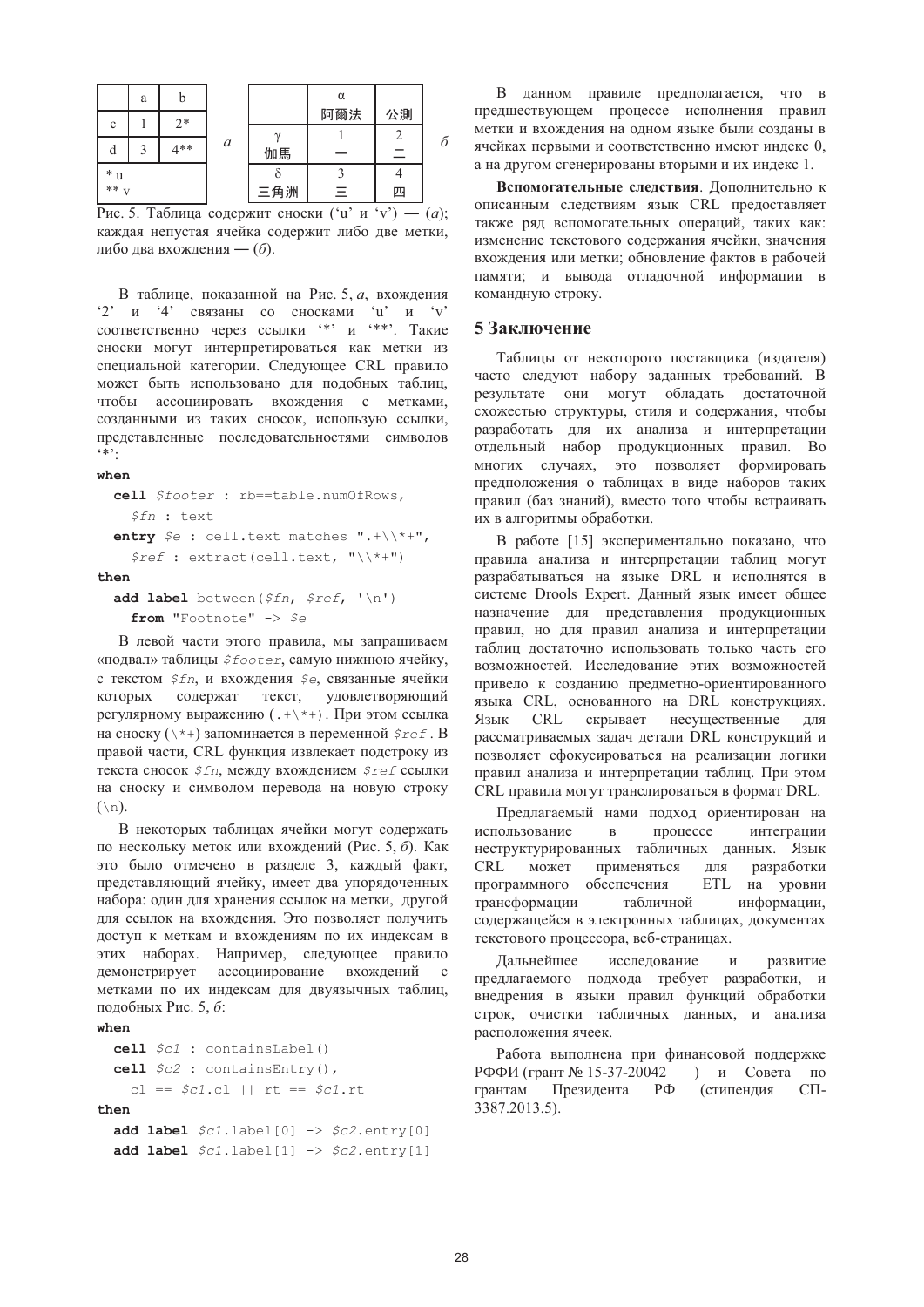|             | a | b    |                  |    | α   |    |   |
|-------------|---|------|------------------|----|-----|----|---|
| $\mathbf c$ |   | $2*$ |                  |    | 阿爾法 | 公測 |   |
|             |   |      |                  |    |     |    |   |
| d           |   | 4**  | $\boldsymbol{a}$ | 伽馬 |     | Ξ  | б |
| $*$ u       |   |      |                  |    |     |    |   |
| $**_{V}$    |   |      | 三角洲              | Ξ  | 四   |    |   |

Рис. 5. Таблица содержит сноски ('u' и 'v') — (а); каждая непустая ячейка содержит либо две метки, либо лва вхожления — (б).

В таблице, показанной на Рис. 5, а, вхождения  $2'$  и  $4'$  связаны со сносками  $u'$  и  $v'$ соответственно через ссылки '\*' и '\*\*'. Такие сноски могут интерпретироваться как метки из специальной категории. Следующее CRL правило может быть использовано для подобных таблиц, чтобы ассоциировать вхождения с метками, созданными из таких сносок, использую ссылки, представленные последовательностями символов  $4*2$ 

when

```
cell $footer : rb == table.numOfRows,
  $fn: textentry \oint e: cell.text matches ".+\\*+",
  $ref: extract(cell.text, "\\\\
```
 $then$ 

```
add label between ($fn, $ref, '\n')
  from "Footnote" -> $e
```
В левой части этого правила, мы запрашиваем «подвал» таблицы *\$footer*, самую нижнюю ячейку, с текстом Sfn, и вхождения Se, связанные ячейки которых содержат текст, удовлетворяющий регулярному выражению (. + \\*+). При этом ссылка на сноску  $(\n\cdot *)$ запоминается в переменной  $\xi$ ге  $f$ . В правой части, CRL функция извлекает подстроку из текста сносок \$fn, между вхождением \$ref ссылки на сноску и символом перевода на новую строку  $(\n\lambda n)$ .

В некоторых таблицах ячейки могут содержать по нескольку меток или вхождений (Рис. 5, 6). Как это было отмечено в разделе 3, каждый факт, представляющий ячейку, имеет два упорядоченных набора: один для хранения ссылок на метки, другой для ссылок на вхождения. Это позволяет получить доступ к меткам и вхождениям по их индексам в этих наборах. Например, следующее правило демонстрирует ассоциирование вхождений  $\mathbf{c}$ метками по их индексам для двуязычных таблиц, подобных Рис. 5, б:

### when

```
cell \zeta c1 : containsLabel()
  cell $c2: contains Entry(),
     cl == $c1.c1 || rt == $c1.rtthenadd label $c1.label[0] \rightarrow $c2.entry[0]add label \text{Sc1}, \text{label}[1] \rightarrow \text{Sc2}, \text{entry}[1]
```
В данном правиле предполагается, что в предшествующем процессе исполнения правил метки и вхождения на одном языке были созданы в ячейках первыми и соответственно имеют индекс 0, а на другом сгенерированы вторыми и их индекс 1.

Вспомогательные следствия. Дополнительно к описанным следствиям язык CRL предоставляет также ряд вспомогательных операций, таких как: изменение текстового содержания ячейки, значения вхождения или метки; обновление фактов в рабочей памяти; и вывода отладочной информации в командную строку.

# 5 Заключение

Таблицы от некоторого поставщика (издателя) часто следуют набору заданных требований. В результате они могут обладать достаточной схожестью структуры, стиля и содержания, чтобы разработать для их анализа и интерпретации отдельный набор продукционных правил. Во многих случаях, это позволяет формировать предположения о таблицах в виде наборов таких правил (баз знаний), вместо того чтобы встраивать их в алгоритмы обработки.

В работе [15] экспериментально показано, что правила анализа и интерпретации таблиц могут разрабатываться на языке DRL и исполнятся в системе Drools Expert. Данный язык имеет общее назначение для представления продукционных правил, но для правил анализа и интерпретации таблиц достаточно использовать только часть его возможностей. Исследование этих возможностей привело к созданию предметно-ориентированного языка CRL, основанного на DRL конструкциях. Язык **CRL** скрывает несушественные лля рассматриваемых задач детали DRL конструкций и позволяет сфокусироваться на реализации логики правил анализа и интерпретации таблиц. При этом CRL правила могут транслироваться в формат DRL.

Предлагаемый нами подход ориентирован на использование  $\mathbf{B}$ процессе интеграции неструктурированных табличных данных. Язык  $CRL$ может применяться ДЛЯ разработки программного обеспечения ETL на уровни трансформации табличной информации, содержащейся в электронных таблицах, документах текстового процессора, веб-страницах.

исследование Дальнейшее  $\mathbf{M}$ развитие предлагаемого подхода требует разработки, и внедрения в языки правил функций обработки строк, очистки табличных данных, и анализа расположения ячеек.

Работа выполнена при финансовой поддержке РФФИ (грант № 15-37-20042 ) и Совета по Президента (стипендия грантам  $P\Phi$  $C\Pi$ 3387.2013.5).